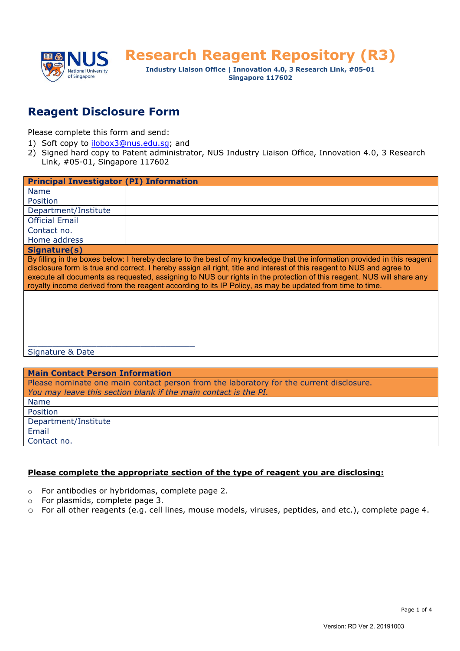

**Research Reagent Repository (R3)** 

**Industry Liaison Office | Innovation 4.0, 3 Research Link, #05-01 Singapore 117602**

## **Reagent Disclosure Form**

Please complete this form and send:

- 1) Soft copy to [ilobox3@nus.edu.sg;](mailto:ilobox3@nus.edu.sg) and
- 2) Signed hard copy to Patent administrator, NUS Industry Liaison Office, Innovation 4.0, 3 Research Link, #05-01, Singapore 117602

| <b>Principal Investigator (PI) Information</b>                                                                                                                                                                                                                                                                                                                                                                                                                                           |  |  |
|------------------------------------------------------------------------------------------------------------------------------------------------------------------------------------------------------------------------------------------------------------------------------------------------------------------------------------------------------------------------------------------------------------------------------------------------------------------------------------------|--|--|
| Name                                                                                                                                                                                                                                                                                                                                                                                                                                                                                     |  |  |
| Position                                                                                                                                                                                                                                                                                                                                                                                                                                                                                 |  |  |
| Department/Institute                                                                                                                                                                                                                                                                                                                                                                                                                                                                     |  |  |
| <b>Official Email</b>                                                                                                                                                                                                                                                                                                                                                                                                                                                                    |  |  |
| Contact no.                                                                                                                                                                                                                                                                                                                                                                                                                                                                              |  |  |
| Home address                                                                                                                                                                                                                                                                                                                                                                                                                                                                             |  |  |
| Signature(s)                                                                                                                                                                                                                                                                                                                                                                                                                                                                             |  |  |
| By filling in the boxes below: I hereby declare to the best of my knowledge that the information provided in this reagent<br>disclosure form is true and correct. I hereby assign all right, title and interest of this reagent to NUS and agree to<br>execute all documents as requested, assigning to NUS our rights in the protection of this reagent. NUS will share any<br>royalty income derived from the reagent according to its IP Policy, as may be updated from time to time. |  |  |
| Signature & Date                                                                                                                                                                                                                                                                                                                                                                                                                                                                         |  |  |

| <b>Main Contact Person Information</b>                                                  |  |  |  |
|-----------------------------------------------------------------------------------------|--|--|--|
| Please nominate one main contact person from the laboratory for the current disclosure. |  |  |  |
| You may leave this section blank if the main contact is the PI.                         |  |  |  |
| <b>Name</b>                                                                             |  |  |  |
| Position                                                                                |  |  |  |
| Department/Institute                                                                    |  |  |  |
| Email                                                                                   |  |  |  |
| Contact no.                                                                             |  |  |  |

## **Please complete the appropriate section of the type of reagent you are disclosing:**

- o For antibodies or hybridomas, complete page 2.
- o For plasmids, complete page 3.
- o For all other reagents (e.g. cell lines, mouse models, viruses, peptides, and etc.), complete page 4.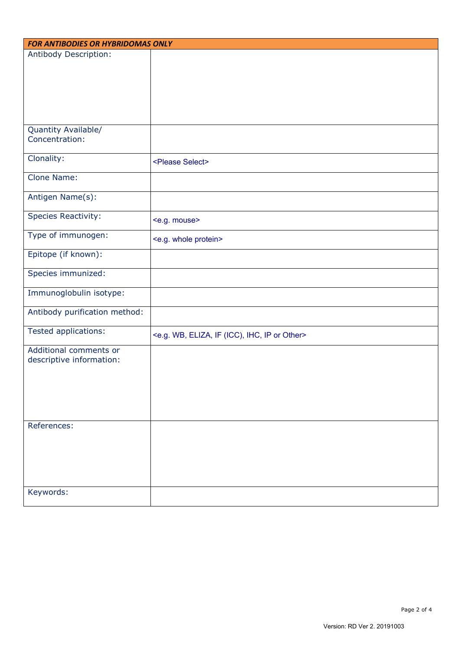| <b>FOR ANTIBODIES OR HYBRIDOMAS ONLY</b> |                                                                             |  |
|------------------------------------------|-----------------------------------------------------------------------------|--|
| Antibody Description:                    |                                                                             |  |
|                                          |                                                                             |  |
|                                          |                                                                             |  |
|                                          |                                                                             |  |
|                                          |                                                                             |  |
|                                          |                                                                             |  |
|                                          |                                                                             |  |
| Quantity Available/<br>Concentration:    |                                                                             |  |
|                                          |                                                                             |  |
| Clonality:                               | <please select=""></please>                                                 |  |
|                                          |                                                                             |  |
| Clone Name:                              |                                                                             |  |
| Antigen Name(s):                         |                                                                             |  |
|                                          |                                                                             |  |
| <b>Species Reactivity:</b>               | <e.g. mouse=""></e.g.>                                                      |  |
|                                          |                                                                             |  |
| Type of immunogen:                       | <e.g. protein="" whole=""></e.g.>                                           |  |
| Epitope (if known):                      |                                                                             |  |
|                                          |                                                                             |  |
| Species immunized:                       |                                                                             |  |
| Immunoglobulin isotype:                  |                                                                             |  |
|                                          |                                                                             |  |
| Antibody purification method:            |                                                                             |  |
|                                          |                                                                             |  |
| Tested applications:                     | <e.g. (icc),="" eliza,="" if="" ihc,="" ip="" or="" other="" wb,=""></e.g.> |  |
| Additional comments or                   |                                                                             |  |
| descriptive information:                 |                                                                             |  |
|                                          |                                                                             |  |
|                                          |                                                                             |  |
|                                          |                                                                             |  |
|                                          |                                                                             |  |
|                                          |                                                                             |  |
| References:                              |                                                                             |  |
|                                          |                                                                             |  |
|                                          |                                                                             |  |
|                                          |                                                                             |  |
|                                          |                                                                             |  |
|                                          |                                                                             |  |
| Keywords:                                |                                                                             |  |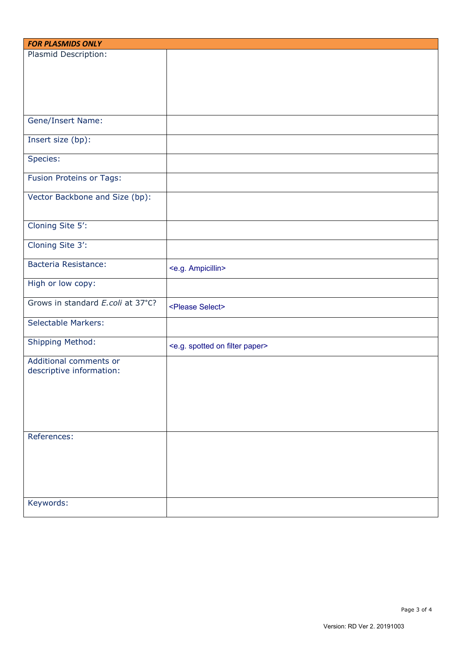| <b>FOR PLASMIDS ONLY</b>          |                                                   |  |
|-----------------------------------|---------------------------------------------------|--|
| Plasmid Description:              |                                                   |  |
|                                   |                                                   |  |
|                                   |                                                   |  |
|                                   |                                                   |  |
|                                   |                                                   |  |
|                                   |                                                   |  |
| <b>Gene/Insert Name:</b>          |                                                   |  |
|                                   |                                                   |  |
| Insert size (bp):                 |                                                   |  |
|                                   |                                                   |  |
| Species:                          |                                                   |  |
|                                   |                                                   |  |
| Fusion Proteins or Tags:          |                                                   |  |
|                                   |                                                   |  |
| Vector Backbone and Size (bp):    |                                                   |  |
|                                   |                                                   |  |
| Cloning Site 5':                  |                                                   |  |
|                                   |                                                   |  |
| Cloning Site 3':                  |                                                   |  |
|                                   |                                                   |  |
| <b>Bacteria Resistance:</b>       | <e.g. ampicillin=""></e.g.>                       |  |
|                                   |                                                   |  |
| High or low copy:                 |                                                   |  |
|                                   |                                                   |  |
| Grows in standard E.coli at 37°C? | <please select=""></please>                       |  |
|                                   |                                                   |  |
| <b>Selectable Markers:</b>        |                                                   |  |
| Shipping Method:                  |                                                   |  |
|                                   | <e.g. filter="" on="" paper="" spotted=""></e.g.> |  |
| Additional comments or            |                                                   |  |
| descriptive information:          |                                                   |  |
|                                   |                                                   |  |
|                                   |                                                   |  |
|                                   |                                                   |  |
|                                   |                                                   |  |
|                                   |                                                   |  |
| References:                       |                                                   |  |
|                                   |                                                   |  |
|                                   |                                                   |  |
|                                   |                                                   |  |
|                                   |                                                   |  |
|                                   |                                                   |  |
|                                   |                                                   |  |
| Keywords:                         |                                                   |  |
|                                   |                                                   |  |